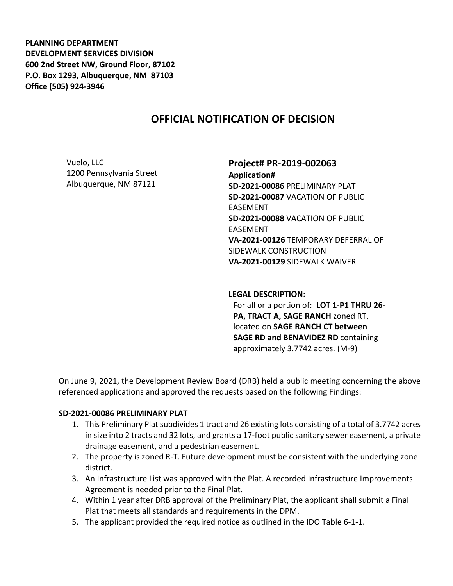**PLANNING DEPARTMENT DEVELOPMENT SERVICES DIVISION 600 2nd Street NW, Ground Floor, 87102 P.O. Box 1293, Albuquerque, NM 87103 Office (505) 924-3946** 

# **OFFICIAL NOTIFICATION OF DECISION**

Vuelo, LLC 1200 Pennsylvania Street Albuquerque, NM 87121

**Project# PR-2019-002063 Application# SD-2021-00086** PRELIMINARY PLAT **SD-2021-00087** VACATION OF PUBLIC EASEMENT **SD-2021-00088** VACATION OF PUBLIC EASEMENT **VA-2021-00126** TEMPORARY DEFERRAL OF SIDEWALK CONSTRUCTION **VA-2021-00129** SIDEWALK WAIVER

**LEGAL DESCRIPTION:** For all or a portion of: **LOT 1-P1 THRU 26- PA, TRACT A, SAGE RANCH** zoned RT, located on **SAGE RANCH CT between** 

approximately 3.7742 acres. (M-9)

**SAGE RD and BENAVIDEZ RD** containing

On June 9, 2021, the Development Review Board (DRB) held a public meeting concerning the above referenced applications and approved the requests based on the following Findings:

#### **SD-2021-00086 PRELIMINARY PLAT**

- 1. This Preliminary Plat subdivides 1 tract and 26 existing lots consisting of a total of 3.7742 acres in size into 2 tracts and 32 lots, and grants a 17-foot public sanitary sewer easement, a private drainage easement, and a pedestrian easement.
- 2. The property is zoned R-T. Future development must be consistent with the underlying zone district.
- 3. An Infrastructure List was approved with the Plat. A recorded Infrastructure Improvements Agreement is needed prior to the Final Plat.
- 4. Within 1 year after DRB approval of the Preliminary Plat, the applicant shall submit a Final Plat that meets all standards and requirements in the DPM.
- 5. The applicant provided the required notice as outlined in the IDO Table 6-1-1.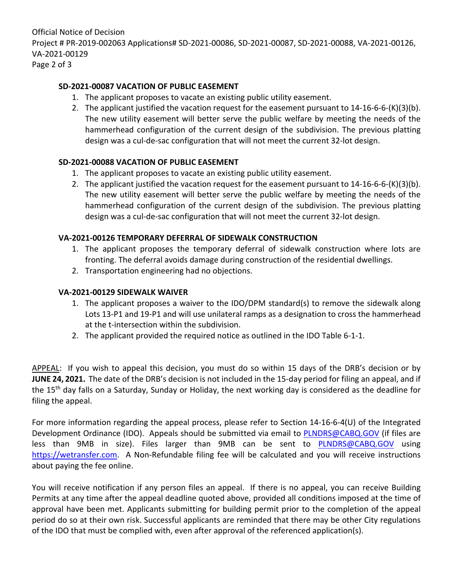Official Notice of Decision Project # PR-2019-002063 Applications# SD-2021-00086, SD-2021-00087, SD-2021-00088, VA-2021-00126, VA-2021-00129 Page 2 of 3

## **SD-2021-00087 VACATION OF PUBLIC EASEMENT**

- 1. The applicant proposes to vacate an existing public utility easement.
- 2. The applicant justified the vacation request for the easement pursuant to  $14-16-6-6-(K)(3)(b)$ . The new utility easement will better serve the public welfare by meeting the needs of the hammerhead configuration of the current design of the subdivision. The previous platting design was a cul-de-sac configuration that will not meet the current 32-lot design.

### **SD-2021-00088 VACATION OF PUBLIC EASEMENT**

- 1. The applicant proposes to vacate an existing public utility easement.
- 2. The applicant justified the vacation request for the easement pursuant to  $14-16-6-6-(K)(3)(b)$ . The new utility easement will better serve the public welfare by meeting the needs of the hammerhead configuration of the current design of the subdivision. The previous platting design was a cul-de-sac configuration that will not meet the current 32-lot design.

### **VA-2021-00126 TEMPORARY DEFERRAL OF SIDEWALK CONSTRUCTION**

- 1. The applicant proposes the temporary deferral of sidewalk construction where lots are fronting. The deferral avoids damage during construction of the residential dwellings.
- 2. Transportation engineering had no objections.

### **VA-2021-00129 SIDEWALK WAIVER**

- 1. The applicant proposes a waiver to the IDO/DPM standard(s) to remove the sidewalk along Lots 13-P1 and 19-P1 and will use unilateral ramps as a designation to cross the hammerhead at the t-intersection within the subdivision.
- 2. The applicant provided the required notice as outlined in the IDO Table 6-1-1.

APPEAL: If you wish to appeal this decision, you must do so within 15 days of the DRB's decision or by **JUNE 24, 2021.** The date of the DRB's decision is not included in the 15-day period for filing an appeal, and if the 15<sup>th</sup> day falls on a Saturday, Sunday or Holiday, the next working day is considered as the deadline for filing the appeal.

For more information regarding the appeal process, please refer to Section 14-16-6-4(U) of the Integrated Development Ordinance (IDO). Appeals should be submitted via email to [PLNDRS@CABQ.GOV](mailto:PLNDRS@CABQ.GOV) (if files are less than 9MB in size). Files larger than 9MB can be sent to [PLNDRS@CABQ.GOV](mailto:PLNDRS@CABQ.GOV) using [https://wetransfer.com.](https://wetransfer.com/) A Non-Refundable filing fee will be calculated and you will receive instructions about paying the fee online.

You will receive notification if any person files an appeal. If there is no appeal, you can receive Building Permits at any time after the appeal deadline quoted above, provided all conditions imposed at the time of approval have been met. Applicants submitting for building permit prior to the completion of the appeal period do so at their own risk. Successful applicants are reminded that there may be other City regulations of the IDO that must be complied with, even after approval of the referenced application(s).